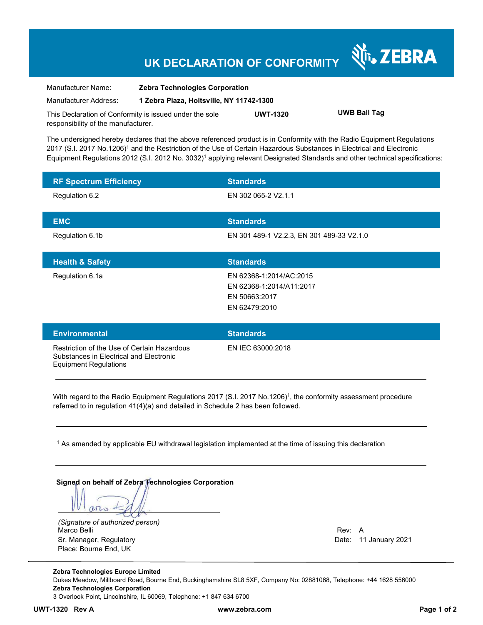## **UK DECLARATION OF CONFORMITY**

| Manufacturer Name:                                      | <b>Zebra Technologies Corporation</b>    |                 |                     |
|---------------------------------------------------------|------------------------------------------|-----------------|---------------------|
| Manufacturer Address:                                   | 1 Zebra Plaza, Holtsville, NY 11742-1300 |                 |                     |
| This Declaration of Conformity is issued under the sole |                                          | <b>UWT-1320</b> | <b>UWB Ball Tag</b> |
| responsibility of the manufacturer.                     |                                          |                 |                     |

The undersigned hereby declares that the above referenced product is in Conformity with the Radio Equipment Regulations 2017 (S.I. 2017 No.1206)<sup>1</sup> and the Restriction of the Use of Certain Hazardous Substances in Electrical and Electronic Equipment Regulations 2012 (S.I. 2012 No. 3032)<sup>1</sup> applying relevant Designated Standards and other technical specifications:

| <b>RF Spectrum Efficiency</b> | <b>Standards</b>                          |
|-------------------------------|-------------------------------------------|
| Regulation 6.2                | EN 302 065-2 V2.1.1                       |
| <b>EMC</b>                    | <b>Standards</b>                          |
| Regulation 6.1b               | EN 301 489-1 V2.2.3, EN 301 489-33 V2.1.0 |
|                               |                                           |
| <b>Health &amp; Safety</b>    | <b>Standards</b>                          |
| Regulation 6.1a               | EN 62368-1:2014/AC:2015                   |
|                               | EN 62368-1:2014/A11:2017                  |
|                               | EN 50663:2017                             |

| <b>Environmental</b>                                                                                                   | <b>Standards</b>  |
|------------------------------------------------------------------------------------------------------------------------|-------------------|
| Restriction of the Use of Certain Hazardous<br>Substances in Electrical and Electronic<br><b>Equipment Regulations</b> | EN IEC 63000:2018 |

With regard to the Radio Equipment Regulations 2017 (S.I. 2017 No.1206)<sup>1</sup>, the conformity assessment procedure referred to in regulation 41(4)(a) and detailed in Schedule 2 has been followed.

 $^{\rm 1}$  As amended by applicable EU withdrawal legislation implemented at the time of issuing this declaration

#### **Signed on behalf of Zebra Technologies Corporation**

arto

*(Signature of authorized person)* Marco Belli Rev: A Sr. Manager, Regulatory Date: 11 January 2021 Place: Bourne End, UK

र्शे<sub>ं</sub> ZEBRA

**Zebra Technologies Europe Limited**  Dukes Meadow, Millboard Road, Bourne End, Buckinghamshire SL8 5XF, Company No: 02881068, Telephone: +44 1628 556000 **Zebra Technologies Corporation**  3 Overlook Point, Lincolnshire, IL 60069, Telephone: +1 847 634 6700